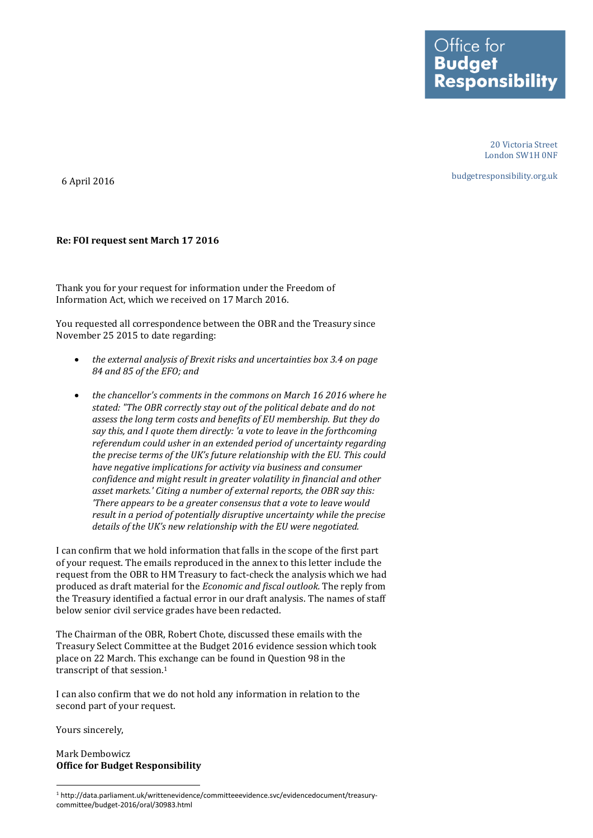20 Victoria Street London SW1H 0NF

budgetresponsibility.org.uk

6 April 2016

## **Re: FOI request sent March 17 2016**

Thank you for your request for information under the Freedom of Information Act, which we received on 17 March 2016.

You requested all correspondence between the OBR and the Treasury since November 25 2015 to date regarding:

- *the external analysis of Brexit risks and uncertainties box 3.4 on page 84 and 85 of the EFO; and*
- *the chancellor's comments in the commons on March 16 2016 where he stated: "The OBR correctly stay out of the political debate and do not assess the long term costs and benefits of EU membership. But they do say this, and I quote them directly: 'a vote to leave in the forthcoming referendum could usher in an extended period of uncertainty regarding the precise terms of the UK's future relationship with the EU. This could have negative implications for activity via business and consumer confidence and might result in greater volatility in financial and other asset markets.' Citing a number of external reports, the OBR say this: 'There appears to be a greater consensus that a vote to leave would result in a period of potentially disruptive uncertainty while the precise details of the UK's new relationship with the EU were negotiated.*

I can confirm that we hold information that falls in the scope of the first part of your request. The emails reproduced in the annex to this letter include the request from the OBR to HM Treasury to fact-check the analysis which we had produced as draft material for the *Economic and fiscal outlook.* The reply from the Treasury identified a factual error in our draft analysis. The names of staff below senior civil service grades have been redacted.

The Chairman of the OBR, Robert Chote, discussed these emails with the Treasury Select Committee at the Budget 2016 evidence session which took place on 22 March. This exchange can be found in Question 98 in the transcript of that session.<sup>1</sup>

I can also confirm that we do not hold any information in relation to the second part of your request.

Yours sincerely,

**.** 

Mark Dembowicz **Office for Budget Responsibility**

<sup>1</sup> http://data.parliament.uk/writtenevidence/committeeevidence.svc/evidencedocument/treasurycommittee/budget-2016/oral/30983.html